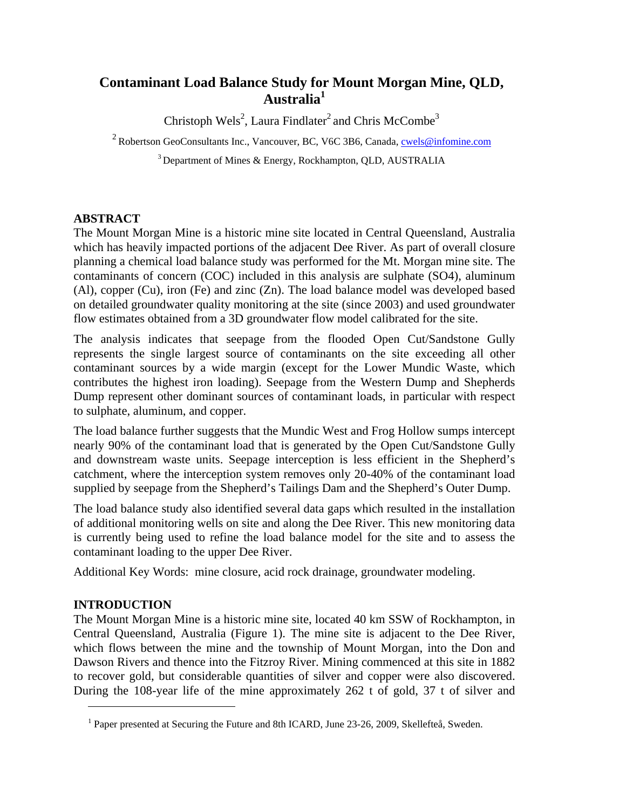# **Contaminant Load Balance Study for Mount Morgan Mine, QLD, Australia<sup>1</sup>**

Christoph Wels<sup>2</sup>, Laura Findlater<sup>2</sup> and Chris McCombe<sup>3</sup>

<sup>2</sup> Robertson GeoConsultants Inc., Vancouver, BC, V6C 3B6, Canada, *cwels@infomine.com* 

3 Department of Mines & Energy, Rockhampton, QLD, AUSTRALIA

## **ABSTRACT**

The Mount Morgan Mine is a historic mine site located in Central Queensland, Australia which has heavily impacted portions of the adjacent Dee River. As part of overall closure planning a chemical load balance study was performed for the Mt. Morgan mine site. The contaminants of concern (COC) included in this analysis are sulphate (SO4), aluminum (Al), copper (Cu), iron (Fe) and zinc (Zn). The load balance model was developed based on detailed groundwater quality monitoring at the site (since 2003) and used groundwater flow estimates obtained from a 3D groundwater flow model calibrated for the site.

The analysis indicates that seepage from the flooded Open Cut/Sandstone Gully represents the single largest source of contaminants on the site exceeding all other contaminant sources by a wide margin (except for the Lower Mundic Waste, which contributes the highest iron loading). Seepage from the Western Dump and Shepherds Dump represent other dominant sources of contaminant loads, in particular with respect to sulphate, aluminum, and copper.

The load balance further suggests that the Mundic West and Frog Hollow sumps intercept nearly 90% of the contaminant load that is generated by the Open Cut/Sandstone Gully and downstream waste units. Seepage interception is less efficient in the Shepherd's catchment, where the interception system removes only 20-40% of the contaminant load supplied by seepage from the Shepherd's Tailings Dam and the Shepherd's Outer Dump.

The load balance study also identified several data gaps which resulted in the installation of additional monitoring wells on site and along the Dee River. This new monitoring data is currently being used to refine the load balance model for the site and to assess the contaminant loading to the upper Dee River.

Additional Key Words: mine closure, acid rock drainage, groundwater modeling.

# **INTRODUCTION**

 $\overline{a}$ 

The Mount Morgan Mine is a historic mine site, located 40 km SSW of Rockhampton, in Central Queensland, Australia (Figure 1). The mine site is adjacent to the Dee River, which flows between the mine and the township of Mount Morgan, into the Don and Dawson Rivers and thence into the Fitzroy River. Mining commenced at this site in 1882 to recover gold, but considerable quantities of silver and copper were also discovered. During the 108-year life of the mine approximately 262 t of gold, 37 t of silver and

<sup>&</sup>lt;sup>1</sup> Paper presented at Securing the Future and 8th ICARD, June 23-26, 2009, Skellefteå, Sweden.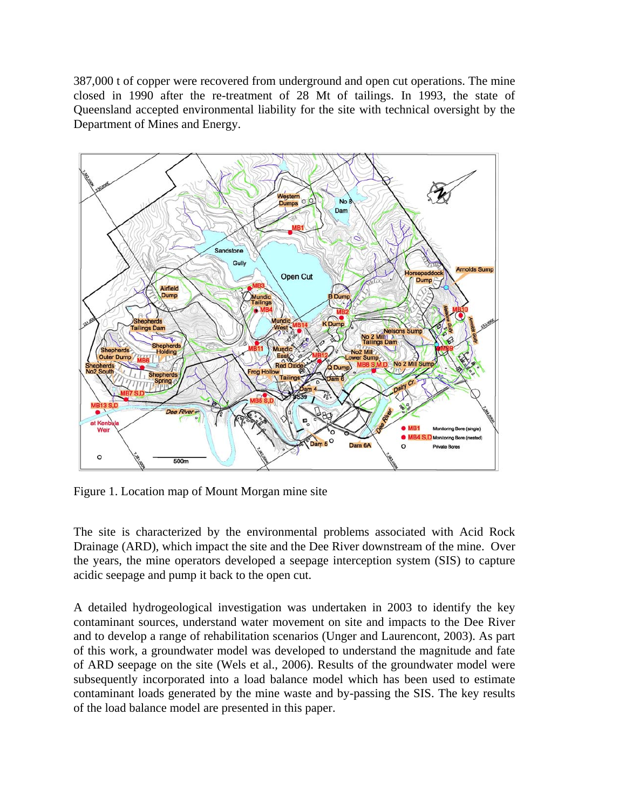387,000 t of copper were recovered from underground and open cut operations. The mine closed in 1990 after the re-treatment of 28 Mt of tailings. In 1993, the state of Queensland accepted environmental liability for the site with technical oversight by the Department of Mines and Energy.



Figure 1. Location map of Mount Morgan mine site

The site is characterized by the environmental problems associated with Acid Rock Drainage (ARD), which impact the site and the Dee River downstream of the mine. Over the years, the mine operators developed a seepage interception system (SIS) to capture acidic seepage and pump it back to the open cut.

A detailed hydrogeological investigation was undertaken in 2003 to identify the key contaminant sources, understand water movement on site and impacts to the Dee River and to develop a range of rehabilitation scenarios (Unger and Laurencont, 2003). As part of this work, a groundwater model was developed to understand the magnitude and fate of ARD seepage on the site (Wels et al., 2006). Results of the groundwater model were subsequently incorporated into a load balance model which has been used to estimate contaminant loads generated by the mine waste and by-passing the SIS. The key results of the load balance model are presented in this paper.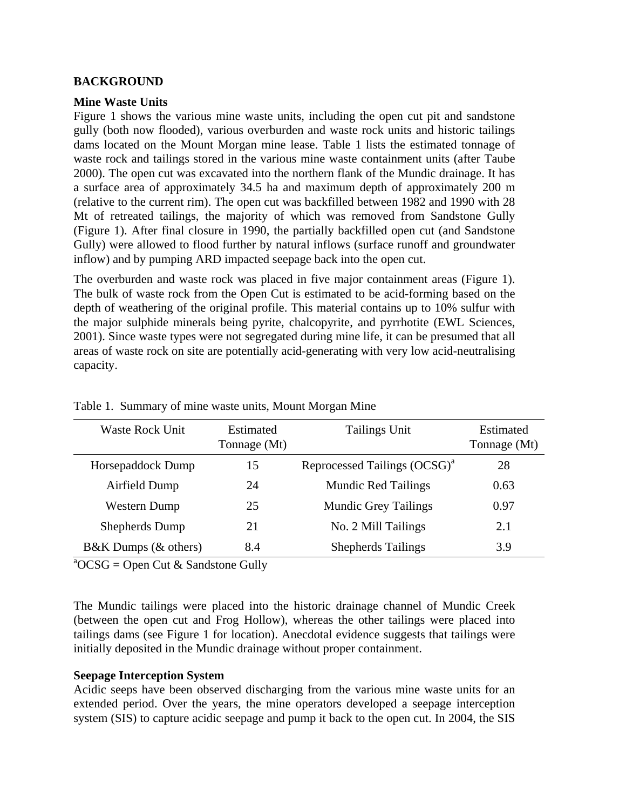#### **BACKGROUND**

#### **Mine Waste Units**

Figure 1 shows the various mine waste units, including the open cut pit and sandstone gully (both now flooded), various overburden and waste rock units and historic tailings dams located on the Mount Morgan mine lease. Table 1 lists the estimated tonnage of waste rock and tailings stored in the various mine waste containment units (after Taube 2000). The open cut was excavated into the northern flank of the Mundic drainage. It has a surface area of approximately 34.5 ha and maximum depth of approximately 200 m (relative to the current rim). The open cut was backfilled between 1982 and 1990 with 28 Mt of retreated tailings, the majority of which was removed from Sandstone Gully (Figure 1). After final closure in 1990, the partially backfilled open cut (and Sandstone Gully) were allowed to flood further by natural inflows (surface runoff and groundwater inflow) and by pumping ARD impacted seepage back into the open cut.

The overburden and waste rock was placed in five major containment areas (Figure 1). The bulk of waste rock from the Open Cut is estimated to be acid-forming based on the depth of weathering of the original profile. This material contains up to 10% sulfur with the major sulphide minerals being pyrite, chalcopyrite, and pyrrhotite (EWL Sciences, 2001). Since waste types were not segregated during mine life, it can be presumed that all areas of waste rock on site are potentially acid-generating with very low acid-neutralising capacity.

| <b>Waste Rock Unit</b> | Estimated<br>Tonnage (Mt) | Tailings Unit                            | Estimated<br>Tonnage (Mt) |
|------------------------|---------------------------|------------------------------------------|---------------------------|
| Horsepaddock Dump      | 15                        | Reprocessed Tailings (OCSG) <sup>a</sup> | 28                        |
| Airfield Dump          | 24                        | <b>Mundic Red Tailings</b>               | 0.63                      |
| Western Dump           | 25                        | <b>Mundic Grey Tailings</b>              | 0.97                      |
| Shepherds Dump         | 21                        | No. 2 Mill Tailings                      | 2.1                       |
| B&K Dumps (& others)   | 8.4                       | <b>Shepherds Tailings</b>                | 3.9                       |

Table 1. Summary of mine waste units, Mount Morgan Mine

 $a^2$ OCSG = Open Cut & Sandstone Gully

The Mundic tailings were placed into the historic drainage channel of Mundic Creek (between the open cut and Frog Hollow), whereas the other tailings were placed into tailings dams (see Figure 1 for location). Anecdotal evidence suggests that tailings were initially deposited in the Mundic drainage without proper containment.

#### **Seepage Interception System**

Acidic seeps have been observed discharging from the various mine waste units for an extended period. Over the years, the mine operators developed a seepage interception system (SIS) to capture acidic seepage and pump it back to the open cut. In 2004, the SIS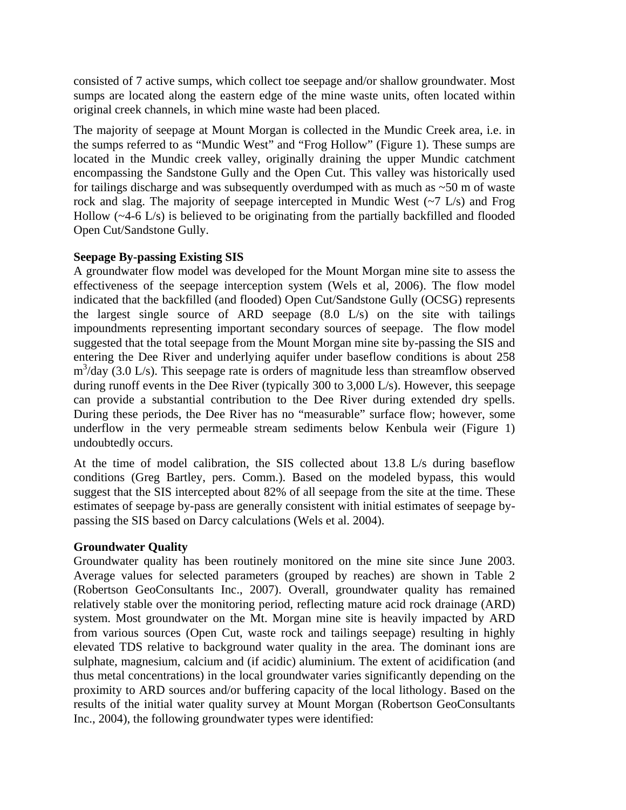consisted of 7 active sumps, which collect toe seepage and/or shallow groundwater. Most sumps are located along the eastern edge of the mine waste units, often located within original creek channels, in which mine waste had been placed.

The majority of seepage at Mount Morgan is collected in the Mundic Creek area, i.e. in the sumps referred to as "Mundic West" and "Frog Hollow" (Figure 1). These sumps are located in the Mundic creek valley, originally draining the upper Mundic catchment encompassing the Sandstone Gully and the Open Cut. This valley was historically used for tailings discharge and was subsequently overdumped with as much as  $\sim$  50 m of waste rock and slag. The majority of seepage intercepted in Mundic West  $(\sim 7 \text{ L/s})$  and Frog Hollow (~4-6 L/s) is believed to be originating from the partially backfilled and flooded Open Cut/Sandstone Gully.

#### **Seepage By-passing Existing SIS**

A groundwater flow model was developed for the Mount Morgan mine site to assess the effectiveness of the seepage interception system (Wels et al, 2006). The flow model indicated that the backfilled (and flooded) Open Cut/Sandstone Gully (OCSG) represents the largest single source of ARD seepage (8.0 L/s) on the site with tailings impoundments representing important secondary sources of seepage. The flow model suggested that the total seepage from the Mount Morgan mine site by-passing the SIS and entering the Dee River and underlying aquifer under baseflow conditions is about 258 m<sup>3</sup>/day (3.0 L/s). This seepage rate is orders of magnitude less than streamflow observed during runoff events in the Dee River (typically 300 to 3,000 L/s). However, this seepage can provide a substantial contribution to the Dee River during extended dry spells. During these periods, the Dee River has no "measurable" surface flow; however, some underflow in the very permeable stream sediments below Kenbula weir (Figure 1) undoubtedly occurs.

At the time of model calibration, the SIS collected about 13.8 L/s during baseflow conditions (Greg Bartley, pers. Comm.). Based on the modeled bypass, this would suggest that the SIS intercepted about 82% of all seepage from the site at the time. These estimates of seepage by-pass are generally consistent with initial estimates of seepage bypassing the SIS based on Darcy calculations (Wels et al. 2004).

#### **Groundwater Quality**

Groundwater quality has been routinely monitored on the mine site since June 2003. Average values for selected parameters (grouped by reaches) are shown in Table 2 (Robertson GeoConsultants Inc., 2007). Overall, groundwater quality has remained relatively stable over the monitoring period, reflecting mature acid rock drainage (ARD) system. Most groundwater on the Mt. Morgan mine site is heavily impacted by ARD from various sources (Open Cut, waste rock and tailings seepage) resulting in highly elevated TDS relative to background water quality in the area. The dominant ions are sulphate, magnesium, calcium and (if acidic) aluminium. The extent of acidification (and thus metal concentrations) in the local groundwater varies significantly depending on the proximity to ARD sources and/or buffering capacity of the local lithology. Based on the results of the initial water quality survey at Mount Morgan (Robertson GeoConsultants Inc., 2004), the following groundwater types were identified: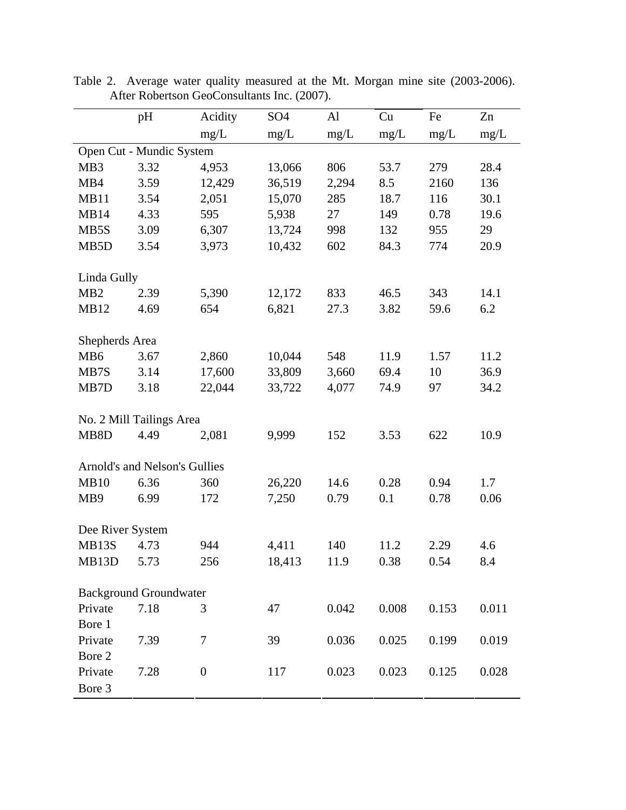| mg/L<br>mg/L<br>mg/L<br>mg/L<br>mg/L<br>mg/L<br>Open Cut - Mundic System<br>MB3<br>3.32<br>806<br>53.7<br>279<br>4,953<br>13,066<br>28.4<br>12,429<br>36,519<br>2,294<br>136<br>MB4<br>3.59<br>8.5<br>2160<br>MB11<br>3.54<br>2,051<br>15,070<br>285<br>18.7<br>116<br>30.1<br>595<br>5,938<br>MB14<br>4.33<br>27<br>149<br>19.6<br>0.78<br>3.09<br>998<br>29<br>MB5S<br>6,307<br>13,724<br>132<br>955<br>602<br>3.54<br>3,973<br>10,432<br>84.3<br>774<br>20.9<br>MB <sub>5</sub> D<br>Linda Gully<br>MB <sub>2</sub><br>12,172<br>833<br>14.1<br>2.39<br>5,390<br>46.5<br>343<br>6.2<br><b>MB12</b><br>4.69<br>654<br>6,821<br>27.3<br>3.82<br>59.6<br>Shepherds Area<br>MB <sub>6</sub><br>3.67<br>2,860<br>10,044<br>548<br>11.9<br>11.2<br>1.57<br>10<br>3.14<br>17,600<br>33,809<br>3,660<br>69.4<br>36.9<br>MB7S<br>MB7D<br>3.18<br>22,044<br>33,722<br>4,077<br>74.9<br>34.2<br>97<br>No. 2 Mill Tailings Area<br>622<br>MB8D<br>4.49<br>2,081<br>9,999<br>152<br>3.53<br>10.9 |  | pH | Acidity | SO <sub>4</sub> | Al | Cu | Fe | Zn |  |  |
|----------------------------------------------------------------------------------------------------------------------------------------------------------------------------------------------------------------------------------------------------------------------------------------------------------------------------------------------------------------------------------------------------------------------------------------------------------------------------------------------------------------------------------------------------------------------------------------------------------------------------------------------------------------------------------------------------------------------------------------------------------------------------------------------------------------------------------------------------------------------------------------------------------------------------------------------------------------------------------------|--|----|---------|-----------------|----|----|----|----|--|--|
|                                                                                                                                                                                                                                                                                                                                                                                                                                                                                                                                                                                                                                                                                                                                                                                                                                                                                                                                                                                        |  |    |         |                 |    |    |    |    |  |  |
|                                                                                                                                                                                                                                                                                                                                                                                                                                                                                                                                                                                                                                                                                                                                                                                                                                                                                                                                                                                        |  |    |         |                 |    |    |    |    |  |  |
|                                                                                                                                                                                                                                                                                                                                                                                                                                                                                                                                                                                                                                                                                                                                                                                                                                                                                                                                                                                        |  |    |         |                 |    |    |    |    |  |  |
|                                                                                                                                                                                                                                                                                                                                                                                                                                                                                                                                                                                                                                                                                                                                                                                                                                                                                                                                                                                        |  |    |         |                 |    |    |    |    |  |  |
|                                                                                                                                                                                                                                                                                                                                                                                                                                                                                                                                                                                                                                                                                                                                                                                                                                                                                                                                                                                        |  |    |         |                 |    |    |    |    |  |  |
|                                                                                                                                                                                                                                                                                                                                                                                                                                                                                                                                                                                                                                                                                                                                                                                                                                                                                                                                                                                        |  |    |         |                 |    |    |    |    |  |  |
|                                                                                                                                                                                                                                                                                                                                                                                                                                                                                                                                                                                                                                                                                                                                                                                                                                                                                                                                                                                        |  |    |         |                 |    |    |    |    |  |  |
|                                                                                                                                                                                                                                                                                                                                                                                                                                                                                                                                                                                                                                                                                                                                                                                                                                                                                                                                                                                        |  |    |         |                 |    |    |    |    |  |  |
|                                                                                                                                                                                                                                                                                                                                                                                                                                                                                                                                                                                                                                                                                                                                                                                                                                                                                                                                                                                        |  |    |         |                 |    |    |    |    |  |  |
|                                                                                                                                                                                                                                                                                                                                                                                                                                                                                                                                                                                                                                                                                                                                                                                                                                                                                                                                                                                        |  |    |         |                 |    |    |    |    |  |  |
|                                                                                                                                                                                                                                                                                                                                                                                                                                                                                                                                                                                                                                                                                                                                                                                                                                                                                                                                                                                        |  |    |         |                 |    |    |    |    |  |  |
|                                                                                                                                                                                                                                                                                                                                                                                                                                                                                                                                                                                                                                                                                                                                                                                                                                                                                                                                                                                        |  |    |         |                 |    |    |    |    |  |  |
|                                                                                                                                                                                                                                                                                                                                                                                                                                                                                                                                                                                                                                                                                                                                                                                                                                                                                                                                                                                        |  |    |         |                 |    |    |    |    |  |  |
|                                                                                                                                                                                                                                                                                                                                                                                                                                                                                                                                                                                                                                                                                                                                                                                                                                                                                                                                                                                        |  |    |         |                 |    |    |    |    |  |  |
|                                                                                                                                                                                                                                                                                                                                                                                                                                                                                                                                                                                                                                                                                                                                                                                                                                                                                                                                                                                        |  |    |         |                 |    |    |    |    |  |  |
|                                                                                                                                                                                                                                                                                                                                                                                                                                                                                                                                                                                                                                                                                                                                                                                                                                                                                                                                                                                        |  |    |         |                 |    |    |    |    |  |  |
|                                                                                                                                                                                                                                                                                                                                                                                                                                                                                                                                                                                                                                                                                                                                                                                                                                                                                                                                                                                        |  |    |         |                 |    |    |    |    |  |  |
|                                                                                                                                                                                                                                                                                                                                                                                                                                                                                                                                                                                                                                                                                                                                                                                                                                                                                                                                                                                        |  |    |         |                 |    |    |    |    |  |  |
| Arnold's and Nelson's Gullies                                                                                                                                                                                                                                                                                                                                                                                                                                                                                                                                                                                                                                                                                                                                                                                                                                                                                                                                                          |  |    |         |                 |    |    |    |    |  |  |
| 14.6<br>0.28<br>MB10<br>6.36<br>360<br>26,220<br>0.94<br>1.7                                                                                                                                                                                                                                                                                                                                                                                                                                                                                                                                                                                                                                                                                                                                                                                                                                                                                                                           |  |    |         |                 |    |    |    |    |  |  |
| 7,250<br>0.1<br>0.78<br>MB <sub>9</sub><br>6.99<br>172<br>0.79<br>0.06                                                                                                                                                                                                                                                                                                                                                                                                                                                                                                                                                                                                                                                                                                                                                                                                                                                                                                                 |  |    |         |                 |    |    |    |    |  |  |
|                                                                                                                                                                                                                                                                                                                                                                                                                                                                                                                                                                                                                                                                                                                                                                                                                                                                                                                                                                                        |  |    |         |                 |    |    |    |    |  |  |
| Dee River System                                                                                                                                                                                                                                                                                                                                                                                                                                                                                                                                                                                                                                                                                                                                                                                                                                                                                                                                                                       |  |    |         |                 |    |    |    |    |  |  |
| MB13S<br>4.73<br>4,411<br>140<br>11.2<br>2.29<br>4.6<br>944                                                                                                                                                                                                                                                                                                                                                                                                                                                                                                                                                                                                                                                                                                                                                                                                                                                                                                                            |  |    |         |                 |    |    |    |    |  |  |
| 256<br>18,413<br>11.9<br>0.38<br>0.54<br>8.4<br>MB13D<br>5.73                                                                                                                                                                                                                                                                                                                                                                                                                                                                                                                                                                                                                                                                                                                                                                                                                                                                                                                          |  |    |         |                 |    |    |    |    |  |  |
| <b>Background Groundwater</b>                                                                                                                                                                                                                                                                                                                                                                                                                                                                                                                                                                                                                                                                                                                                                                                                                                                                                                                                                          |  |    |         |                 |    |    |    |    |  |  |
| Private<br>7.18<br>0.008<br>0.011<br>47<br>0.042<br>0.153<br>3                                                                                                                                                                                                                                                                                                                                                                                                                                                                                                                                                                                                                                                                                                                                                                                                                                                                                                                         |  |    |         |                 |    |    |    |    |  |  |
| Bore 1                                                                                                                                                                                                                                                                                                                                                                                                                                                                                                                                                                                                                                                                                                                                                                                                                                                                                                                                                                                 |  |    |         |                 |    |    |    |    |  |  |
| Private<br>7.39<br>$\tau$<br>0.036<br>0.025<br>0.019<br>39<br>0.199                                                                                                                                                                                                                                                                                                                                                                                                                                                                                                                                                                                                                                                                                                                                                                                                                                                                                                                    |  |    |         |                 |    |    |    |    |  |  |
| Bore 2                                                                                                                                                                                                                                                                                                                                                                                                                                                                                                                                                                                                                                                                                                                                                                                                                                                                                                                                                                                 |  |    |         |                 |    |    |    |    |  |  |
| Private<br>7.28<br>$\boldsymbol{0}$<br>0.023<br>117<br>0.023<br>0.125<br>0.028                                                                                                                                                                                                                                                                                                                                                                                                                                                                                                                                                                                                                                                                                                                                                                                                                                                                                                         |  |    |         |                 |    |    |    |    |  |  |
| Bore 3                                                                                                                                                                                                                                                                                                                                                                                                                                                                                                                                                                                                                                                                                                                                                                                                                                                                                                                                                                                 |  |    |         |                 |    |    |    |    |  |  |

Table 2. Average water quality measured at the Mt. Morgan mine site (2003-2006). After Robertson GeoConsultants Inc. (2007).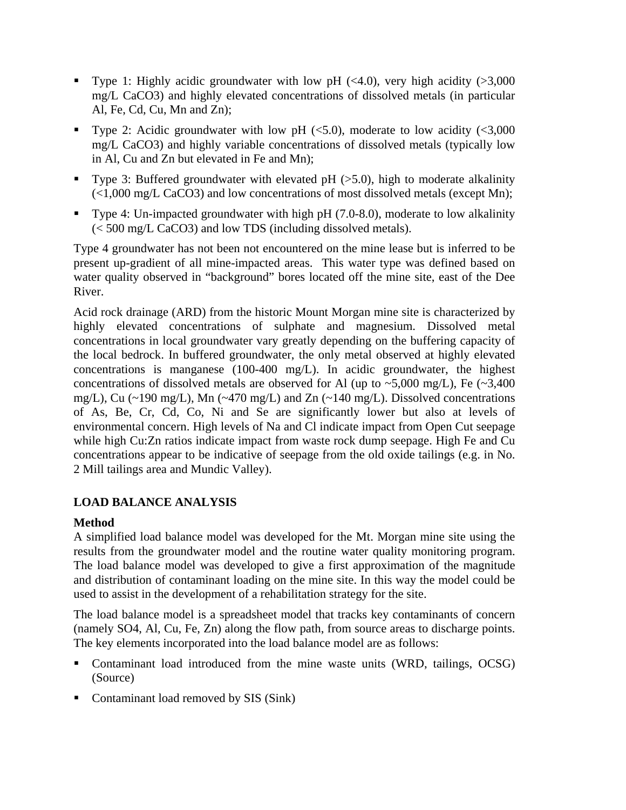- Type 1: Highly acidic groundwater with low pH  $(\leq 4.0)$ , very high acidity  $(>\!\!3,000$ mg/L CaCO3) and highly elevated concentrations of dissolved metals (in particular Al, Fe, Cd, Cu, Mn and Zn);
- Type 2: Acidic groundwater with low pH  $(<5.0)$ , moderate to low acidity  $(<3,000$ mg/L CaCO3) and highly variable concentrations of dissolved metals (typically low in Al, Cu and Zn but elevated in Fe and Mn);
- Type 3: Buffered groundwater with elevated pH  $(>5.0)$ , high to moderate alkalinity (<1,000 mg/L CaCO3) and low concentrations of most dissolved metals (except Mn);
- Type 4: Un-impacted groundwater with high pH (7.0-8.0), moderate to low alkalinity (< 500 mg/L CaCO3) and low TDS (including dissolved metals).

Type 4 groundwater has not been not encountered on the mine lease but is inferred to be present up-gradient of all mine-impacted areas. This water type was defined based on water quality observed in "background" bores located off the mine site, east of the Dee River.

Acid rock drainage (ARD) from the historic Mount Morgan mine site is characterized by highly elevated concentrations of sulphate and magnesium. Dissolved metal concentrations in local groundwater vary greatly depending on the buffering capacity of the local bedrock. In buffered groundwater, the only metal observed at highly elevated concentrations is manganese (100-400 mg/L). In acidic groundwater, the highest concentrations of dissolved metals are observed for Al (up to  $\sim$  5,000 mg/L), Fe ( $\sim$ 3,400 mg/L), Cu (~190 mg/L), Mn (~470 mg/L) and Zn (~140 mg/L). Dissolved concentrations of As, Be, Cr, Cd, Co, Ni and Se are significantly lower but also at levels of environmental concern. High levels of Na and Cl indicate impact from Open Cut seepage while high Cu:Zn ratios indicate impact from waste rock dump seepage. High Fe and Cu concentrations appear to be indicative of seepage from the old oxide tailings (e.g. in No. 2 Mill tailings area and Mundic Valley).

# **LOAD BALANCE ANALYSIS**

# **Method**

A simplified load balance model was developed for the Mt. Morgan mine site using the results from the groundwater model and the routine water quality monitoring program. The load balance model was developed to give a first approximation of the magnitude and distribution of contaminant loading on the mine site. In this way the model could be used to assist in the development of a rehabilitation strategy for the site.

The load balance model is a spreadsheet model that tracks key contaminants of concern (namely SO4, Al, Cu, Fe, Zn) along the flow path, from source areas to discharge points. The key elements incorporated into the load balance model are as follows:

- Contaminant load introduced from the mine waste units (WRD, tailings, OCSG) (Source)
- Contaminant load removed by SIS (Sink)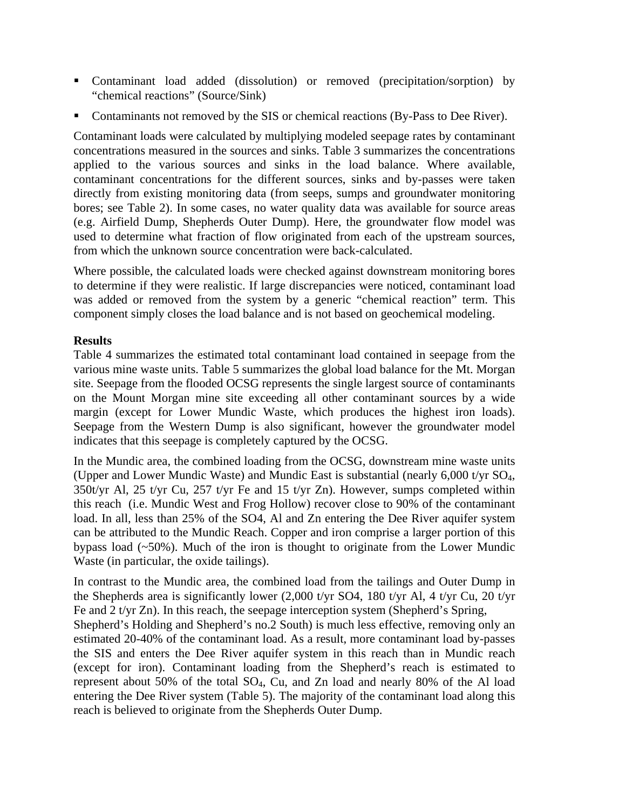- Contaminant load added (dissolution) or removed (precipitation/sorption) by "chemical reactions" (Source/Sink)
- Contaminants not removed by the SIS or chemical reactions (By-Pass to Dee River).

Contaminant loads were calculated by multiplying modeled seepage rates by contaminant concentrations measured in the sources and sinks. Table 3 summarizes the concentrations applied to the various sources and sinks in the load balance. Where available, contaminant concentrations for the different sources, sinks and by-passes were taken directly from existing monitoring data (from seeps, sumps and groundwater monitoring bores; see Table 2). In some cases, no water quality data was available for source areas (e.g. Airfield Dump, Shepherds Outer Dump). Here, the groundwater flow model was used to determine what fraction of flow originated from each of the upstream sources, from which the unknown source concentration were back-calculated.

Where possible, the calculated loads were checked against downstream monitoring bores to determine if they were realistic. If large discrepancies were noticed, contaminant load was added or removed from the system by a generic "chemical reaction" term. This component simply closes the load balance and is not based on geochemical modeling.

#### **Results**

Table 4 summarizes the estimated total contaminant load contained in seepage from the various mine waste units. Table 5 summarizes the global load balance for the Mt. Morgan site. Seepage from the flooded OCSG represents the single largest source of contaminants on the Mount Morgan mine site exceeding all other contaminant sources by a wide margin (except for Lower Mundic Waste, which produces the highest iron loads). Seepage from the Western Dump is also significant, however the groundwater model indicates that this seepage is completely captured by the OCSG.

In the Mundic area, the combined loading from the OCSG, downstream mine waste units (Upper and Lower Mundic Waste) and Mundic East is substantial (nearly 6,000 t/yr SO4, 350t/yr Al, 25 t/yr Cu, 257 t/yr Fe and 15 t/yr Zn). However, sumps completed within this reach (i.e. Mundic West and Frog Hollow) recover close to 90% of the contaminant load. In all, less than 25% of the SO4, Al and Zn entering the Dee River aquifer system can be attributed to the Mundic Reach. Copper and iron comprise a larger portion of this bypass load (~50%). Much of the iron is thought to originate from the Lower Mundic Waste (in particular, the oxide tailings).

In contrast to the Mundic area, the combined load from the tailings and Outer Dump in the Shepherds area is significantly lower (2,000 t/yr SO4, 180 t/yr Al, 4 t/yr Cu, 20 t/yr Fe and 2 t/yr Zn). In this reach, the seepage interception system (Shepherd's Spring,

Shepherd's Holding and Shepherd's no.2 South) is much less effective, removing only an estimated 20-40% of the contaminant load. As a result, more contaminant load by-passes the SIS and enters the Dee River aquifer system in this reach than in Mundic reach (except for iron). Contaminant loading from the Shepherd's reach is estimated to represent about 50% of the total SO4, Cu, and Zn load and nearly 80% of the Al load entering the Dee River system (Table 5). The majority of the contaminant load along this reach is believed to originate from the Shepherds Outer Dump.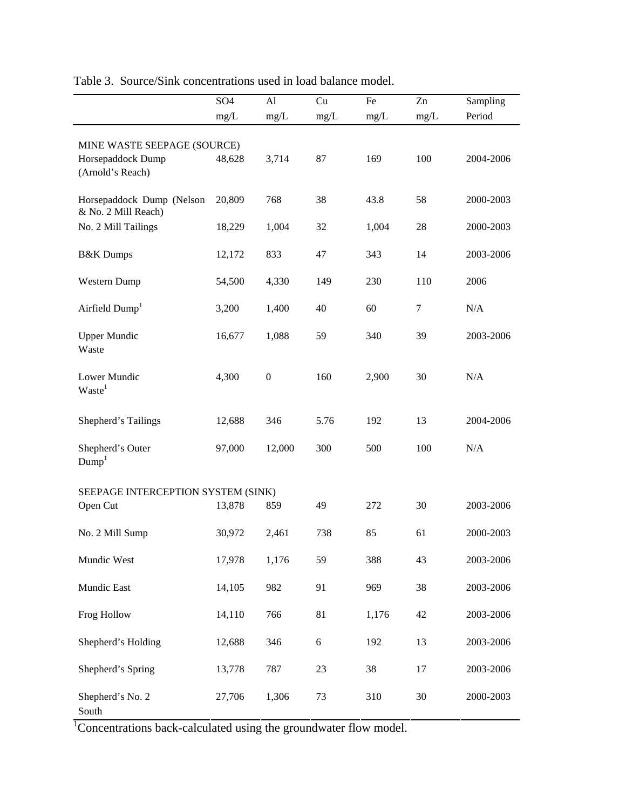|                                                  | SO <sub>4</sub> | Al               | Cu         | Fe    | Zn   | Sampling  |  |
|--------------------------------------------------|-----------------|------------------|------------|-------|------|-----------|--|
|                                                  | mg/L            | mg/L             | mg/L       | mg/L  | mg/L | Period    |  |
|                                                  |                 |                  |            |       |      |           |  |
| MINE WASTE SEEPAGE (SOURCE)                      |                 |                  |            |       |      |           |  |
| Horsepaddock Dump                                | 48,628          | 3,714            | 87         | 169   | 100  | 2004-2006 |  |
| (Arnold's Reach)                                 |                 |                  |            |       |      |           |  |
|                                                  |                 |                  |            |       |      |           |  |
| Horsepaddock Dump (Nelson<br>& No. 2 Mill Reach) | 20,809          | 768              | 38         | 43.8  | 58   | 2000-2003 |  |
| No. 2 Mill Tailings                              | 18,229          | 1,004            | 32         | 1,004 | 28   | 2000-2003 |  |
|                                                  |                 |                  |            |       |      |           |  |
| <b>B&amp;K</b> Dumps                             | 12,172          | 833              | 47         | 343   | 14   | 2003-2006 |  |
|                                                  |                 |                  |            |       |      |           |  |
| Western Dump                                     | 54,500          | 4,330            | 149        | 230   | 110  | 2006      |  |
|                                                  |                 |                  |            |       |      |           |  |
| Airfield Dump <sup>1</sup>                       | 3,200           | 1,400            | 40         | 60    | 7    | N/A       |  |
| <b>Upper Mundic</b>                              | 16,677          | 1,088            | 59         | 340   | 39   | 2003-2006 |  |
| Waste                                            |                 |                  |            |       |      |           |  |
|                                                  |                 |                  |            |       |      |           |  |
| Lower Mundic                                     | 4,300           | $\boldsymbol{0}$ | 160        | 2,900 | 30   | N/A       |  |
| Waste <sup>1</sup>                               |                 |                  |            |       |      |           |  |
|                                                  |                 |                  |            |       |      |           |  |
| Shepherd's Tailings                              | 12,688          | 346              | 5.76       | 192   | 13   | 2004-2006 |  |
|                                                  |                 |                  |            |       |      |           |  |
| Shepherd's Outer                                 | 97,000          | 12,000           | 300        | 500   | 100  | N/A       |  |
| Dump <sup>1</sup>                                |                 |                  |            |       |      |           |  |
|                                                  |                 |                  |            |       |      |           |  |
| SEEPAGE INTERCEPTION SYSTEM (SINK)<br>Open Cut   | 13,878          | 859              | 49         | 272   | 30   | 2003-2006 |  |
|                                                  |                 |                  |            |       |      |           |  |
| No. 2 Mill Sump                                  | 30,972          | 2,461            | 738        | 85    | 61   | 2000-2003 |  |
|                                                  |                 |                  |            |       |      |           |  |
| Mundic West                                      | 17,978          | 1,176            | 59         | 388   | 43   | 2003-2006 |  |
|                                                  |                 |                  |            |       |      |           |  |
| Mundic East                                      | 14,105          | 982              | 91         | 969   | 38   | 2003-2006 |  |
| Frog Hollow                                      | 14,110          | 766              | 81         | 1,176 | 42   | 2003-2006 |  |
|                                                  |                 |                  |            |       |      |           |  |
| Shepherd's Holding                               | 12,688          | 346              | $\sqrt{6}$ | 192   | 13   | 2003-2006 |  |
|                                                  |                 |                  |            |       |      |           |  |
| Shepherd's Spring                                | 13,778          | 787              | 23         | 38    | 17   | 2003-2006 |  |
|                                                  |                 |                  |            |       |      |           |  |
| Shepherd's No. 2                                 | 27,706          | 1,306            | 73         | 310   | 30   | 2000-2003 |  |
| South                                            |                 |                  |            |       |      |           |  |

Table 3. Source/Sink concentrations used in load balance model.

<sup>1</sup>Concentrations back-calculated using the groundwater flow model.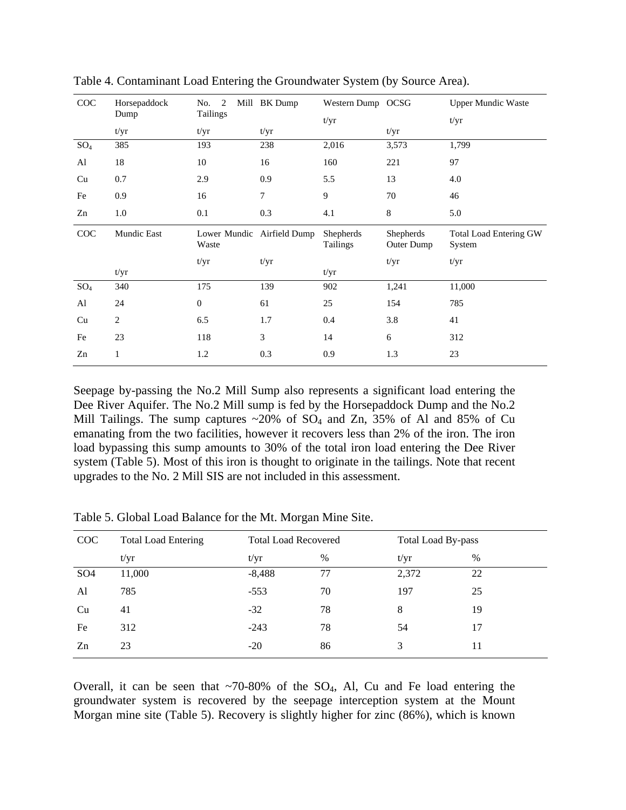| COC    | Horsepaddock       | <sup>2</sup><br>No. | Mill BK Dump               | Western Dump OCSG     |                         | <b>Upper Mundic Waste</b>               |
|--------|--------------------|---------------------|----------------------------|-----------------------|-------------------------|-----------------------------------------|
|        | Dump               | Tailings            |                            | t/yr                  |                         | t/yr                                    |
|        | t/yr               | t/yr                | t/yr                       |                       | t/yr                    |                                         |
| $SO_4$ | 385                | 193                 | 238                        | 2,016                 | 3,573                   | 1,799                                   |
| Al     | 18                 | 10                  | 16                         | 160                   | 221                     | 97                                      |
| Cu     | 0.7                | 2.9                 | 0.9                        | 5.5                   | 13                      | 4.0                                     |
| Fe     | 0.9                | 16                  | 7                          | 9                     | 70                      | 46                                      |
| Zn     | 1.0                | 0.1                 | 0.3                        | 4.1                   | $\,8\,$                 | 5.0                                     |
| COC    | <b>Mundic East</b> | Waste               | Lower Mundic Airfield Dump | Shepherds<br>Tailings | Shepherds<br>Outer Dump | <b>Total Load Entering GW</b><br>System |
|        |                    | t/yr                | t/yr                       |                       | t/yr                    | t/yr                                    |
|        | t/yr               |                     |                            | t/yr                  |                         |                                         |
| $SO_4$ | 340                | 175                 | 139                        | 902                   | 1,241                   | 11,000                                  |
| Al     | 24                 | $\boldsymbol{0}$    | 61                         | 25                    | 154                     | 785                                     |
| Cu     | $\mathbf{2}$       | 6.5                 | 1.7                        | 0.4                   | 3.8                     | 41                                      |
| Fe     | 23                 | 118                 | 3                          | 14                    | 6                       | 312                                     |
| Zn     | 1                  | 1.2                 | 0.3                        | 0.9                   | 1.3                     | 23                                      |

Table 4. Contaminant Load Entering the Groundwater System (by Source Area).

Seepage by-passing the No.2 Mill Sump also represents a significant load entering the Dee River Aquifer. The No.2 Mill sump is fed by the Horsepaddock Dump and the No.2 Mill Tailings. The sump captures  $\sim 20\%$  of SO<sub>4</sub> and Zn, 35% of Al and 85% of Cu emanating from the two facilities, however it recovers less than 2% of the iron. The iron load bypassing this sump amounts to 30% of the total iron load entering the Dee River system (Table 5). Most of this iron is thought to originate in the tailings. Note that recent upgrades to the No. 2 Mill SIS are not included in this assessment.

| COC             | <b>Total Load Entering</b> | <b>Total Load Recovered</b> |      | Total Load By-pass |    |  |
|-----------------|----------------------------|-----------------------------|------|--------------------|----|--|
|                 | t/yr                       | t/yr                        | $\%$ | t/yr               | %  |  |
| SO <sub>4</sub> | 11,000                     | $-8,488$                    | 77   | 2,372              | 22 |  |
| Al              | 785                        | $-553$                      | 70   | 197                | 25 |  |
| Cu              | 41                         | $-32$                       | 78   | 8                  | 19 |  |
| Fe              | 312                        | $-243$                      | 78   | 54                 | 17 |  |
| Zn              | 23                         | $-20$                       | 86   | 3                  | 11 |  |

Table 5. Global Load Balance for the Mt. Morgan Mine Site.

Overall, it can be seen that  $\sim 70-80\%$  of the SO<sub>4</sub>, Al, Cu and Fe load entering the groundwater system is recovered by the seepage interception system at the Mount Morgan mine site (Table 5). Recovery is slightly higher for zinc (86%), which is known